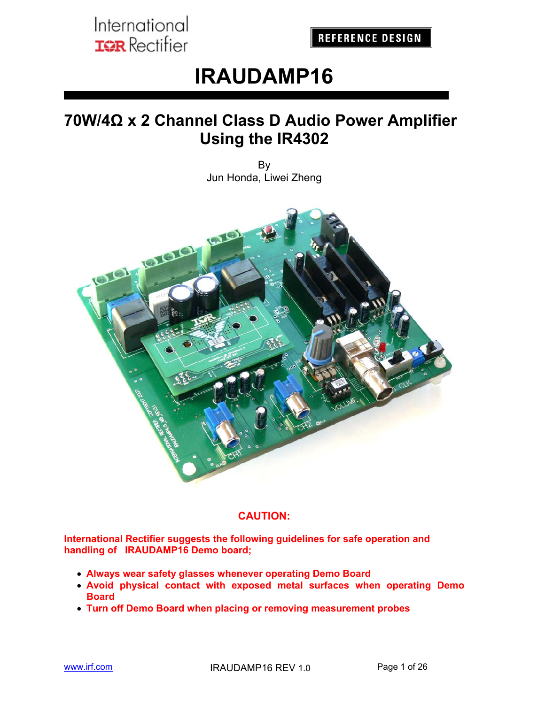**REFERENCE DESIGN** 

# **IRAUDAMP16**

# **70W/4Ω x 2 Channel Class D Audio Power Amplifier Using the IR4302**

By Jun Honda, Liwei Zheng



#### **CAUTION:**

**International Rectifier suggests the following guidelines for safe operation and handling of IRAUDAMP16 Demo board;** 

- **Always wear safety glasses whenever operating Demo Board**
- **Avoid physical contact with exposed metal surfaces when operating Demo Board**
- **Turn off Demo Board when placing or removing measurement probes**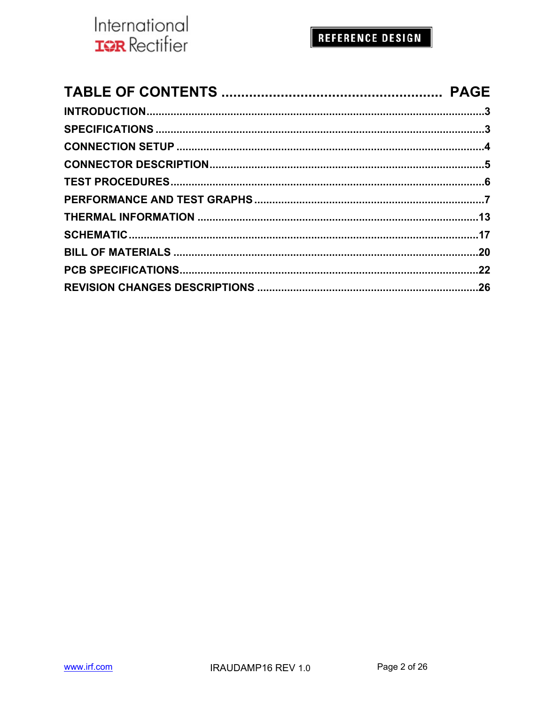

## REFERENCE DESIGN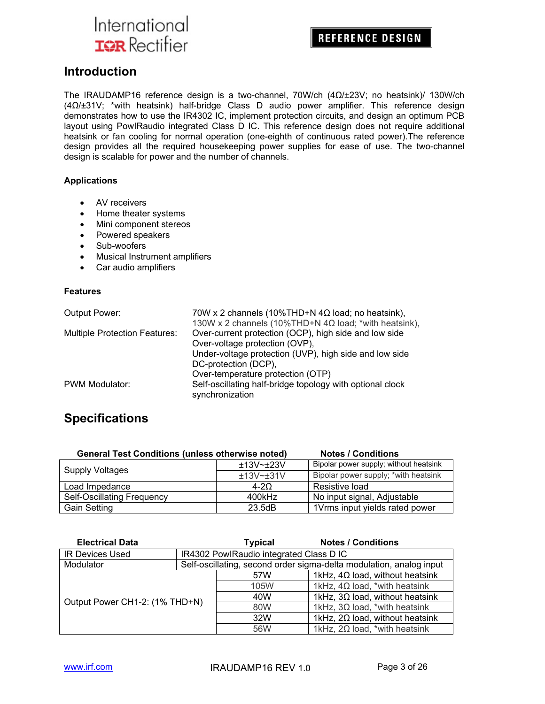**REFERENCE DESIGN** 

#### **Introduction**

The IRAUDAMP16 reference design is a two-channel, 70W/ch (4Ω/±23V; no heatsink)/ 130W/ch (4Ω/±31V; \*with heatsink) half-bridge Class D audio power amplifier. This reference design demonstrates how to use the IR4302 IC, implement protection circuits, and design an optimum PCB layout using PowIRaudio integrated Class D IC. This reference design does not require additional heatsink or fan cooling for normal operation (one-eighth of continuous rated power).The reference design provides all the required housekeeping power supplies for ease of use. The two-channel design is scalable for power and the number of channels.

#### **Applications**

- AV receivers
- Home theater systems
- Mini component stereos
- Powered speakers
- Sub-woofers
- Musical Instrument amplifiers
- Car audio amplifiers

#### **Features**

| <b>Output Power:</b>                 | 70W x 2 channels (10%THD+N $4\Omega$ load; no heatsink),     |
|--------------------------------------|--------------------------------------------------------------|
|                                      | 130W x 2 channels (10%THD+N $4\Omega$ load; *with heatsink), |
| <b>Multiple Protection Features:</b> | Over-current protection (OCP), high side and low side        |
|                                      | Over-voltage protection (OVP),                               |
|                                      | Under-voltage protection (UVP), high side and low side       |
|                                      | DC-protection (DCP),                                         |
|                                      | Over-temperature protection (OTP)                            |
| <b>PWM Modulator:</b>                | Self-oscillating half-bridge topology with optional clock    |
|                                      | synchronization                                              |

### **Specifications**

| <b>General Test Conditions (unless otherwise noted)</b> |           | <b>Notes / Conditions</b>              |
|---------------------------------------------------------|-----------|----------------------------------------|
| Supply Voltages                                         | ±13V~±23V | Bipolar power supply; without heatsink |
|                                                         | ±13V~±31V | Bipolar power supply; *with heatsink   |
| Load Impedance                                          | $4 - 20$  | Resistive load                         |
| Self-Oscillating Frequency                              | 400kHz    | No input signal, Adjustable            |
| <b>Gain Setting</b>                                     | 23.5dB    | 1Vrms input yields rated power         |

| <b>Electrical Data</b>         |  | <b>Typical</b>                                                      | <b>Notes / Conditions</b>              |  |  |  |  |
|--------------------------------|--|---------------------------------------------------------------------|----------------------------------------|--|--|--|--|
| <b>IR Devices Used</b>         |  | IR4302 PowlRaudio integrated Class D IC                             |                                        |  |  |  |  |
| Modulator                      |  | Self-oscillating, second order sigma-delta modulation, analog input |                                        |  |  |  |  |
|                                |  | 57W                                                                 | 1kHz, $4\Omega$ load, without heatsink |  |  |  |  |
|                                |  | 105W                                                                | 1kHz, $4\Omega$ load, *with heatsink   |  |  |  |  |
| Output Power CH1-2: (1% THD+N) |  | 40W                                                                 | 1kHz, $3\Omega$ load, without heatsink |  |  |  |  |
|                                |  | 80W                                                                 | 1kHz, $3\Omega$ load, *with heatsink   |  |  |  |  |
|                                |  | 32W                                                                 | 1kHz, $2\Omega$ load, without heatsink |  |  |  |  |
|                                |  | 56W                                                                 | 1kHz, $2\Omega$ load, *with heatsink   |  |  |  |  |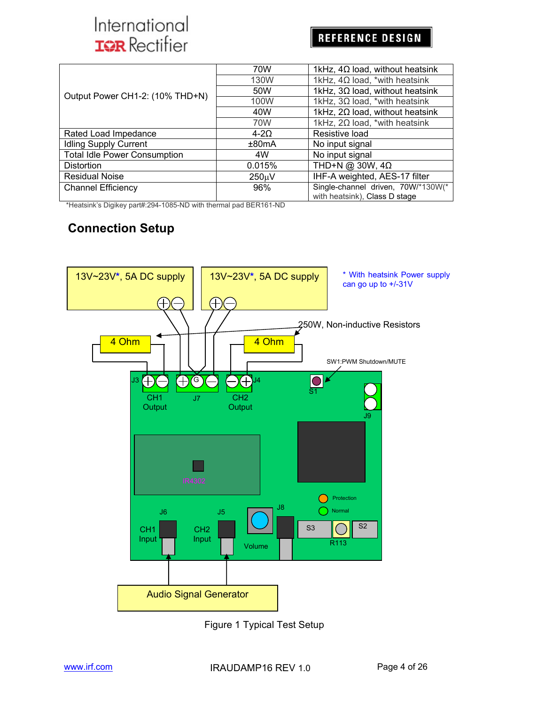### **REFERENCE DESIGN**

|                                     | 70W         | 1kHz, $4\Omega$ load, without heatsink<br>1kHz, $4\Omega$ load, *with heatsink |  |  |  |
|-------------------------------------|-------------|--------------------------------------------------------------------------------|--|--|--|
|                                     | 130W        |                                                                                |  |  |  |
| Output Power CH1-2: (10% THD+N)     | 50W         | 1kHz, $3\Omega$ load, without heatsink                                         |  |  |  |
|                                     | 100W        | 1kHz, $3\Omega$ load, *with heatsink                                           |  |  |  |
|                                     | 40W         | 1kHz, $2\Omega$ load, without heatsink                                         |  |  |  |
|                                     | 70W         | 1kHz, $2\Omega$ load, *with heatsink                                           |  |  |  |
| Rated Load Impedance                | $4 - 20$    | Resistive load                                                                 |  |  |  |
| <b>Idling Supply Current</b>        | ±80mA       | No input signal                                                                |  |  |  |
| <b>Total Idle Power Consumption</b> | 4W          | No input signal                                                                |  |  |  |
| <b>Distortion</b>                   | 0.015%      | THD+N @ 30W, $4\Omega$                                                         |  |  |  |
| <b>Residual Noise</b>               | $250 \mu V$ | IHF-A weighted, AES-17 filter                                                  |  |  |  |
| <b>Channel Efficiency</b>           | 96%         | Single-channel driven, 70W/*130W(*<br>with heatsink), Class D stage            |  |  |  |

\*Heatsink's Digikey part#:294-1085-ND with thermal pad BER161-ND

### **Connection Setup**



Figure 1 Typical Test Setup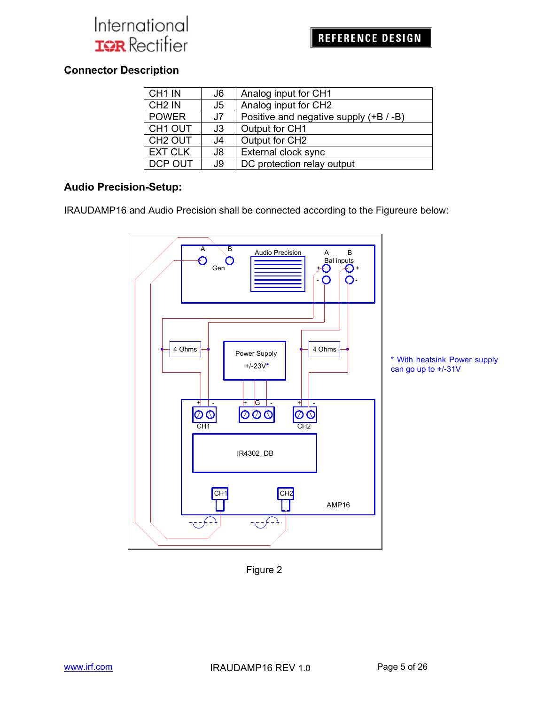### **Connector Description**

| CH <sub>1</sub> IN  | J6  | Analog input for CH1                   |
|---------------------|-----|----------------------------------------|
| CH <sub>2</sub> IN  | J5  | Analog input for CH2                   |
| <b>POWER</b>        | J7  | Positive and negative supply (+B / -B) |
| CH <sub>1</sub> OUT | J3  | Output for CH1                         |
| CH <sub>2</sub> OUT | J4  | Output for CH2                         |
| <b>EXT CLK</b>      | J8  | External clock sync                    |
| <b>DCP OUT</b>      | J9. | DC protection relay output             |

#### **Audio Precision-Setup:**

IRAUDAMP16 and Audio Precision shall be connected according to the Figureure below:



Figure 2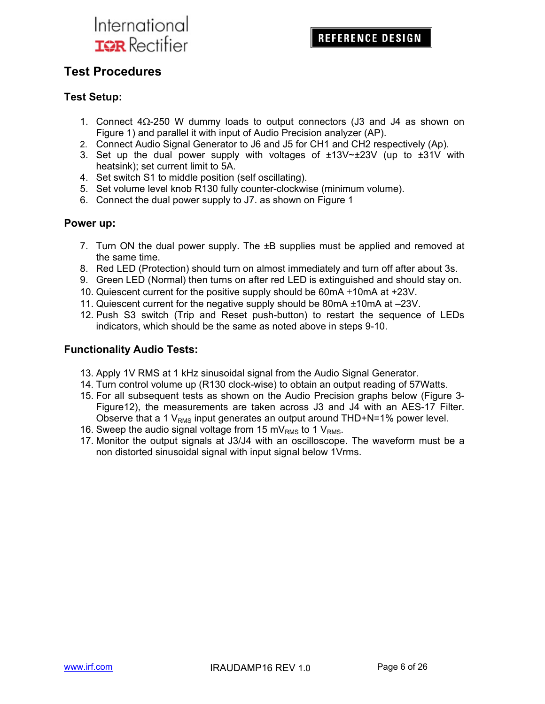### **Test Procedures**

#### **Test Setup:**

- 1. Connect  $4\Omega$ -250 W dummy loads to output connectors (J3 and J4 as shown on Figure 1) and parallel it with input of Audio Precision analyzer (AP).
- 2. Connect Audio Signal Generator to J6 and J5 for CH1 and CH2 respectively (Ap).
- 3. Set up the dual power supply with voltages of  $\pm 13V \approx \pm 23V$  (up to  $\pm 31V$  with heatsink); set current limit to 5A.
- 4. Set switch S1 to middle position (self oscillating).
- 5. Set volume level knob R130 fully counter-clockwise (minimum volume).
- 6. Connect the dual power supply to J7. as shown on Figure 1

#### **Power up:**

- 7. Turn ON the dual power supply. The ±B supplies must be applied and removed at the same time.
- 8. Red LED (Protection) should turn on almost immediately and turn off after about 3s.
- 9. Green LED (Normal) then turns on after red LED is extinguished and should stay on.
- 10. Quiescent current for the positive supply should be  $60mA \pm 10mA$  at +23V.
- 11. Quiescent current for the negative supply should be  $80mA \pm 10mA$  at  $-23V$ .
- 12. Push S3 switch (Trip and Reset push-button) to restart the sequence of LEDs indicators, which should be the same as noted above in steps 9-10.

#### **Functionality Audio Tests:**

- 13. Apply 1V RMS at 1 kHz sinusoidal signal from the Audio Signal Generator.
- 14. Turn control volume up (R130 clock-wise) to obtain an output reading of 57Watts.
- 15. For all subsequent tests as shown on the Audio Precision graphs below (Figure 3- Figure12), the measurements are taken across J3 and J4 with an AES-17 Filter. Observe that a 1  $V_{RMS}$  input generates an output around THD+N=1% power level.
- 16. Sweep the audio signal voltage from 15 mV $_{RMS}$  to 1 V $_{RMS}$ .
- 17. Monitor the output signals at J3/J4 with an oscilloscope. The waveform must be a non distorted sinusoidal signal with input signal below 1Vrms.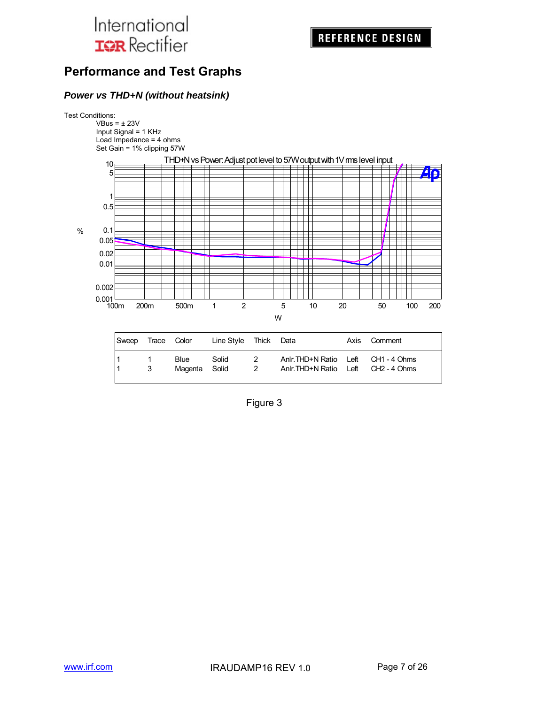### **Performance and Test Graphs**

#### *Power vs THD+N (without heatsink)*

#### **Test Conditions:**

 $VBus = \pm 23V$ Input Signal = 1 KHz Load Impedance = 4 ohms Set Gain = 1% clipping 57W



Figure 3

1 3 Magenta Solid 2 Anlr.THD+N Ratio Left CH2 - 4 Ohms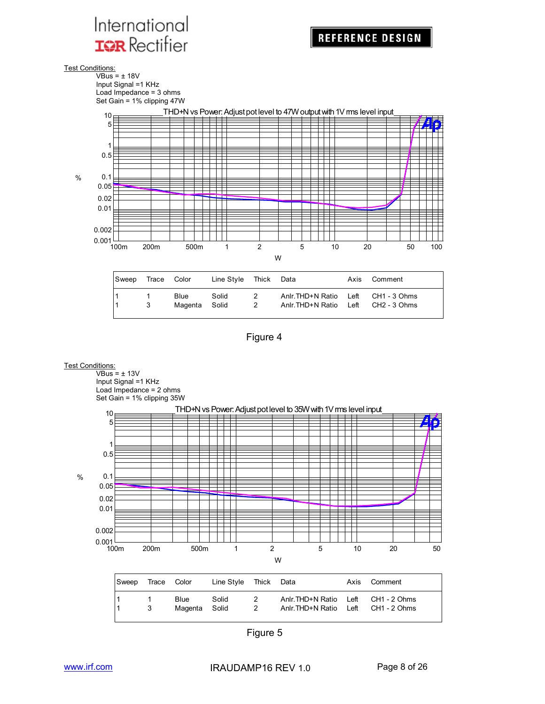Test Conditions:

 $\overline{\text{VBus}}$  =  $\pm$  18V Input Signal =1 KHz Load Impedance = 3 ohms Set Gain = 1% clipping 47W



Figure 4

1 1 Blue Solid 2 Anlr.THD+N Ratio Left CH1 - 3 Ohms<br>1 3 Magenta Solid 2 Anlr.THD+N Ratio Left CH2 - 3 Ohms 1 3 Magenta Solid 2 Anlr.THD+N Ratio Left CH2 - 3 Ohms



Figure 5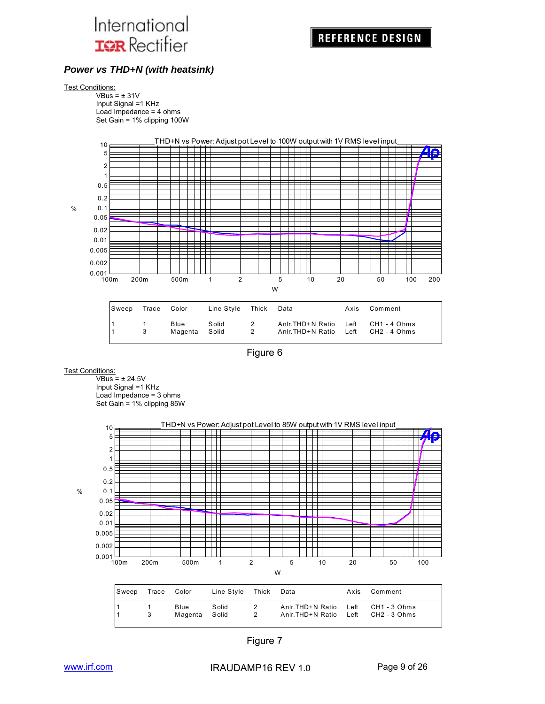

#### *Power vs THD+N (with heatsink)*

#### Test Conditions:

 $VBus = ±31V$ Input Signal =1 KHz Load Impedance = 4 ohms Set Gain = 1% clipping 100W



| Sweep | Trace Color |                       | Line Style Thick Data |                     |                                                                           | Axis Comment |
|-------|-------------|-----------------------|-----------------------|---------------------|---------------------------------------------------------------------------|--------------|
|       | 3           | Blue<br>Magenta Solid | Solid                 | 2<br>$\overline{2}$ | Anlr. THD+N Ratio Left CH1 - 4 Ohms<br>Anlr.THD+N Ratio Left CH2 - 4 Ohms |              |

Figure 6

#### **Test Conditions:**

 $VBus =  $\pm$  24.5V$ Input Signal =1 KHz Load Impedance = 3 ohms Set Gain = 1% clipping 85W



| Sweep | Trace Color  |                       | Line Style Thick Data |                                 |                                                                            | Axis Comment |
|-------|--------------|-----------------------|-----------------------|---------------------------------|----------------------------------------------------------------------------|--------------|
|       | $\mathbf{3}$ | Blue<br>Magenta Solid | Solid                 | 2<br>$\overline{\phantom{0}}^2$ | Anlr. THD+N Ratio Left CH1 - 3 Ohms<br>Anlr. THD+N Ratio Left CH2 - 3 Ohms |              |

Figure 7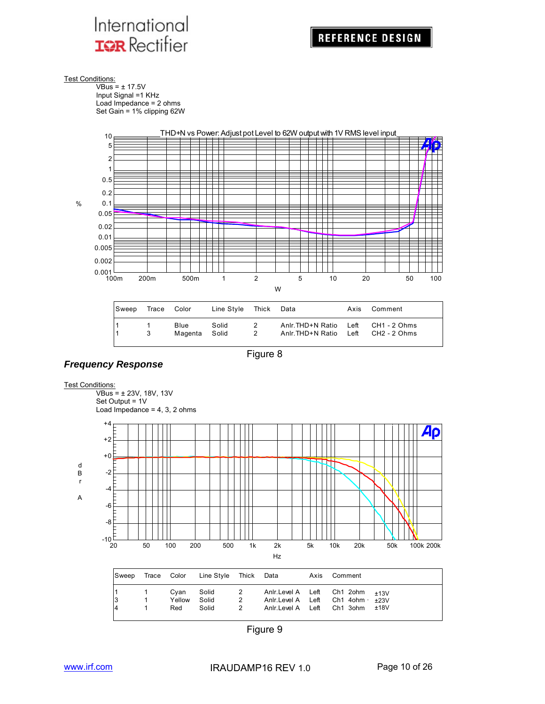

**Test Conditions:** 

 $\overline{\text{VBus}}$  =  $\pm$  17.5V Input Signal =1 KHz Load Impedance = 2 ohms Set Gain = 1% clipping 62W



Figure 8

1 3 Magenta Solid 2 Anlr.THD+N Ratio Left



#### Test Conditions:

VBus = ± 23V, 18V, 13V Set Output = 1V Load Impedance =  $4, 3, 2$  ohms



Figure 9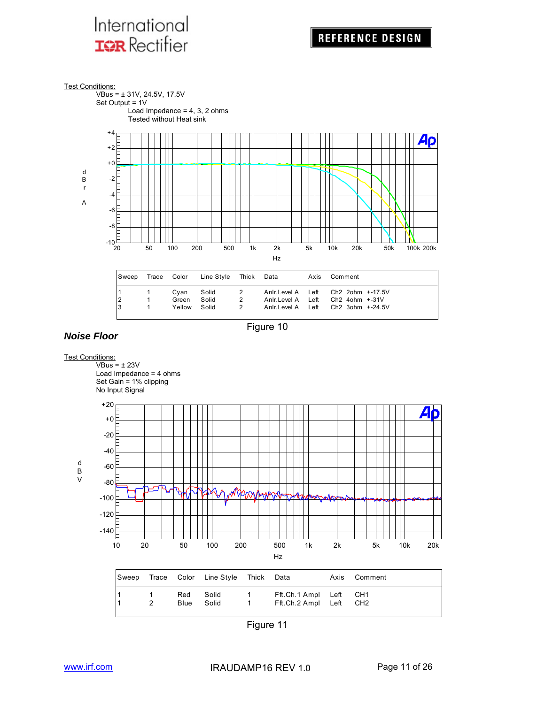

Figure 10



#### Figure 11

*Noise Floor*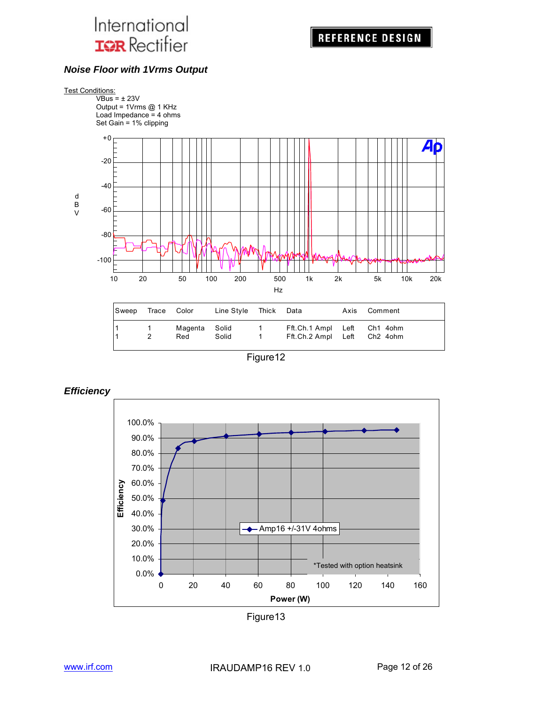

#### *Noise Floor with 1Vrms Output*



| Sweep | Trace Color |                      | Line Style Thick Data |          |                                                            | Axis Comment |
|-------|-------------|----------------------|-----------------------|----------|------------------------------------------------------------|--------------|
|       |             | Magenta Solid<br>Red | Solid                 | $\sim$ 1 | Fft.Ch.1 Ampl Left Ch1 4ohm<br>Fft.Ch.2 Ampl Left Ch2 4ohm |              |

Figure12





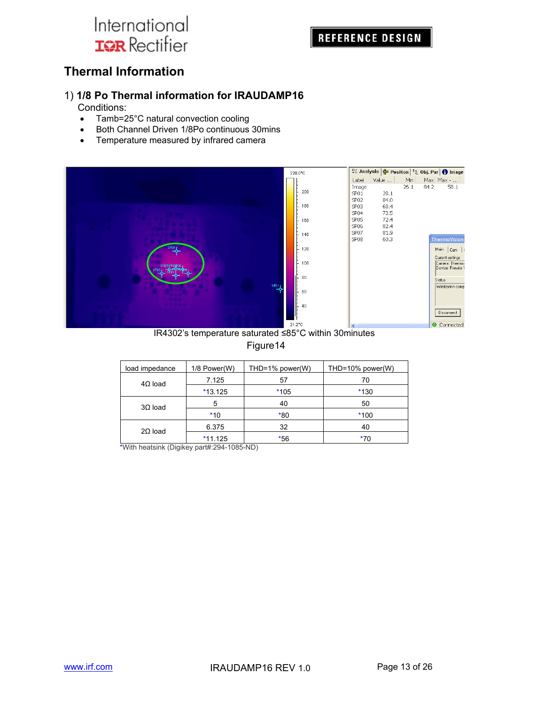### **REFERENCE DESIGN**

### **Thermal Information**

#### 1) **1/8 Po Thermal information for IRAUDAMP16**

Conditions:

- Tamb=25°C natural convection cooling
- Both Channel Driven 1/8Po continuous 30mins
- Temperature measured by infrared camera



IR4302's temperature saturated ≤85°C within 30minutes

#### Figure14

| load impedance | 1/8 Power(W) | THD=1% power(W) | THD=10% power(W) |
|----------------|--------------|-----------------|------------------|
| $4\Omega$ load | 7.125        | 57              | 70               |
|                | $*13.125$    | $*105$          | $*130$           |
| $3\Omega$ load | 5            | 40              | 50               |
|                | $*10$        | $*80$           | $*100$           |
| $2\Omega$ load | 6.375        | 32              | 40               |
|                | $*11.125$    | $*56$           | *70              |

\*With heatsink (Digikey part#:294-1085-ND)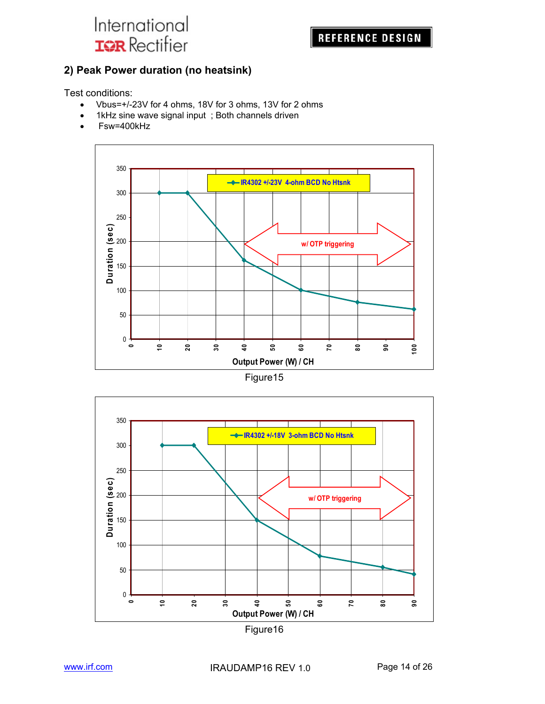

#### **2) Peak Power duration (no heatsink)**

Test conditions:

- Vbus=+/-23V for 4 ohms, 18V for 3 ohms, 13V for 2 ohms
- 1kHz sine wave signal input; Both channels driven
- Fsw=400kHz





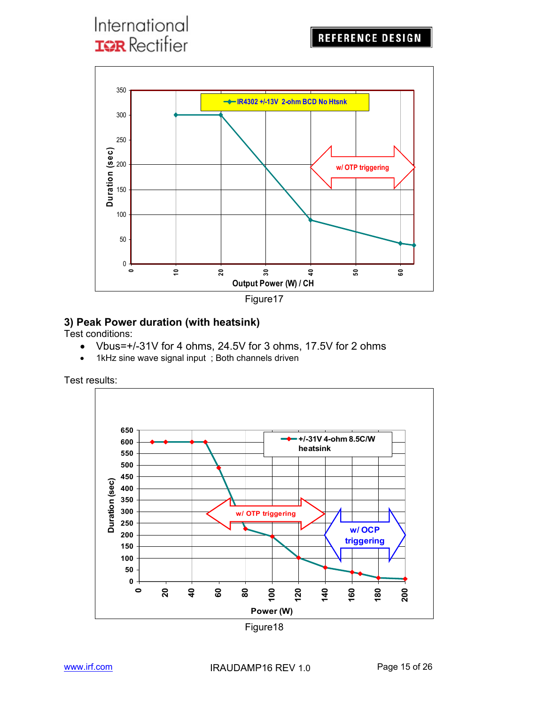



### **3) Peak Power duration (with heatsink)**

Test conditions:

- Vbus=+/-31V for 4 ohms, 24.5V for 3 ohms, 17.5V for 2 ohms
- 1kHz sine wave signal input; Both channels driven

Test results:



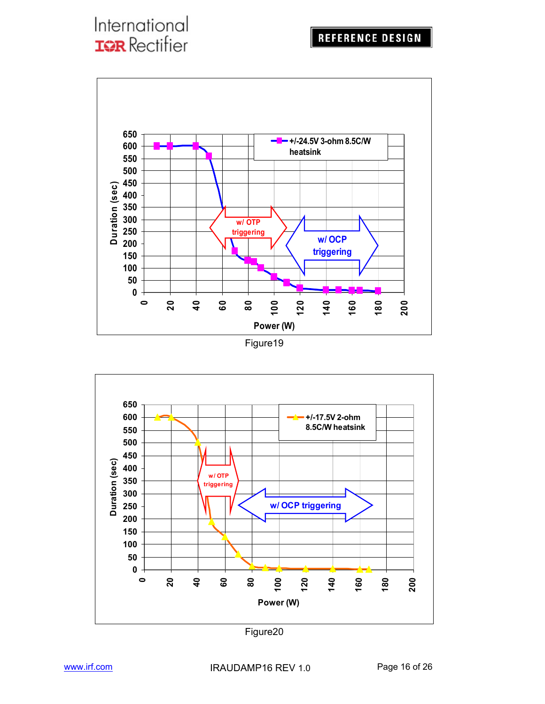

Figure19



Figure20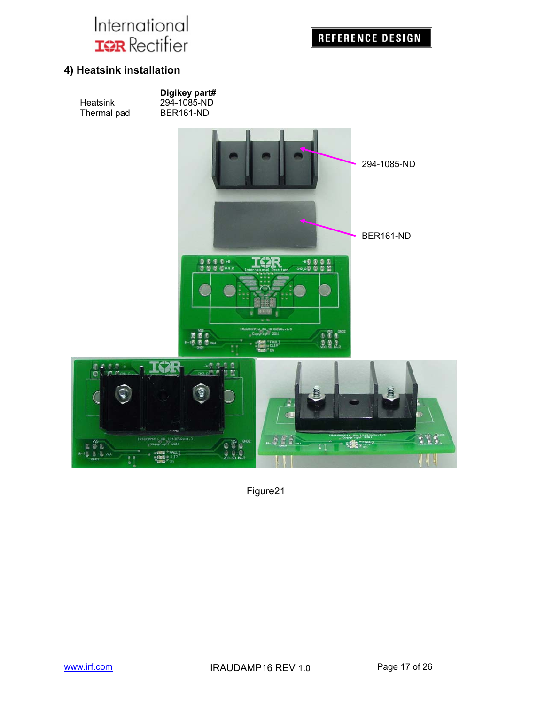

#### **4) Heatsink installation**



Figure21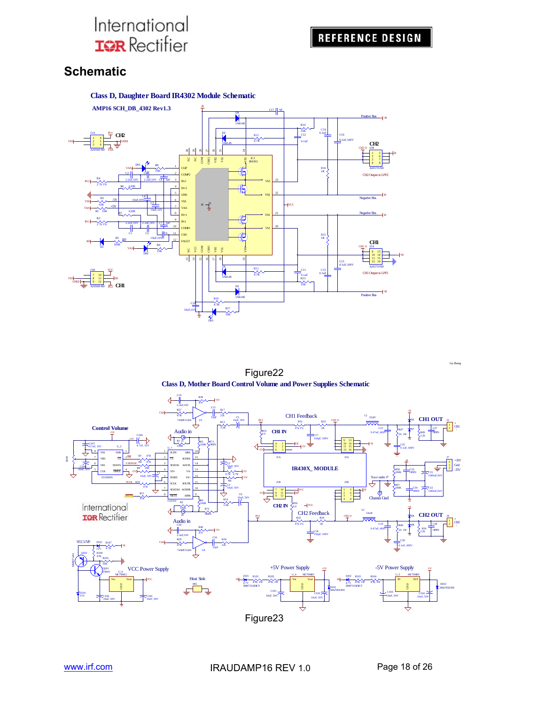### **Schematic**



Figure22 **Class D, Mother Board Control Volume and Power Supplies Schematic**



Liz Zheng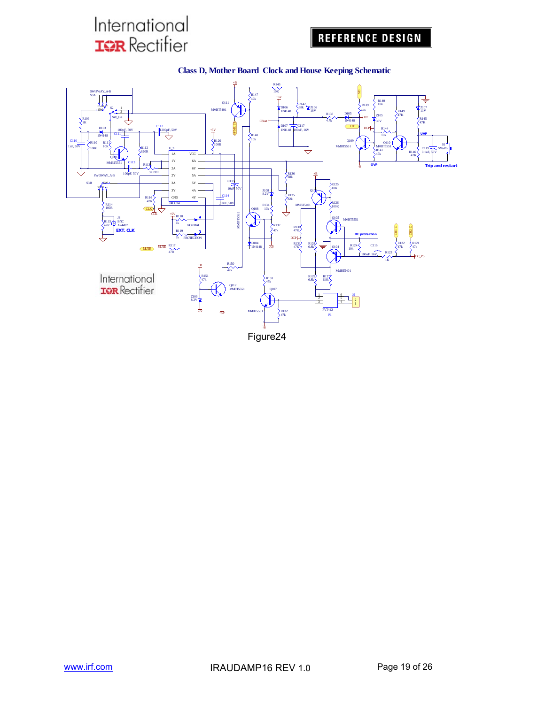## **REFERENCE DESIGN**



#### **Class D, Mother Board Clock and House Keeping Schematic**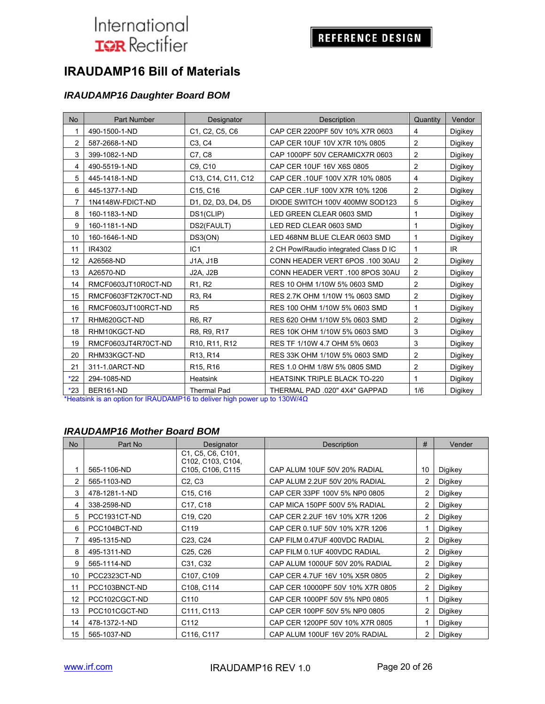### REFERENCE DESIGN

### **IRAUDAMP16 Bill of Materials**

#### *IRAUDAMP16 Daughter Board BOM*

| No    | Part Number         | Designator                                                        | Description                           | Quantity       | Vendor  |
|-------|---------------------|-------------------------------------------------------------------|---------------------------------------|----------------|---------|
| 1     | 490-1500-1-ND       | C <sub>1</sub> , C <sub>2</sub> , C <sub>5</sub> , C <sub>6</sub> | CAP CER 2200PF 50V 10% X7R 0603       | 4              | Digikey |
| 2     | 587-2668-1-ND       | C <sub>3</sub> , C <sub>4</sub>                                   | CAP CER 10UF 10V X7R 10% 0805         | 2              | Digikey |
| 3     | 399-1082-1-ND       | C7, C8                                                            | CAP 1000PF 50V CERAMICX7R 0603        | $\overline{2}$ | Digikey |
| 4     | 490-5519-1-ND       | C9, C10                                                           | CAP CER 10UF 16V X6S 0805             | 2              | Digikey |
| 5     | 445-1418-1-ND       | C13, C14, C11, C12                                                | CAP CER .10UF 100V X7R 10% 0805       | $\overline{4}$ | Digikey |
| 6     | 445-1377-1-ND       | C15, C16                                                          | CAP CER .1UF 100V X7R 10% 1206        | $\overline{2}$ | Digikey |
| 7     | 1N4148W-FDICT-ND    | D1, D2, D3, D4, D5                                                | DIODE SWITCH 100V 400MW SOD123        | 5              | Digikey |
| 8     | 160-1183-1-ND       | DS1(CLIP)                                                         | LED GREEN CLEAR 0603 SMD              | 1              | Digikey |
| 9     | 160-1181-1-ND       | DS2(FAULT)                                                        | LED RED CLEAR 0603 SMD                | 1              | Digikey |
| 10    | 160-1646-1-ND       | DS3(ON)                                                           | LED 468NM BLUE CLEAR 0603 SMD         | 1              | Digikey |
| 11    | IR4302              | IC1                                                               | 2 CH PowlRaudio integrated Class D IC | $\mathbf{1}$   | IR.     |
| 12    | A26568-ND           | J1A, J1B                                                          | CONN HEADER VERT 6POS .100 30AU       | 2              | Digikey |
| 13    | A26570-ND           | <b>J2A, J2B</b>                                                   | CONN HEADER VERT .100 8POS 30AU       | $\overline{2}$ | Digikey |
| 14    | RMCF0603JT10R0CT-ND | R <sub>1</sub> , R <sub>2</sub>                                   | RES 10 OHM 1/10W 5% 0603 SMD          | 2              | Digikey |
| 15    | RMCF0603FT2K70CT-ND | R <sub>3</sub> , R <sub>4</sub>                                   | RES 2.7K OHM 1/10W 1% 0603 SMD        | 2              | Digikey |
| 16    | RMCF0603JT100RCT-ND | R <sub>5</sub>                                                    | RES 100 OHM 1/10W 5% 0603 SMD         | 1              | Digikey |
| 17    | RHM620GCT-ND        | R6, R7                                                            | RES 620 OHM 1/10W 5% 0603 SMD         | $\overline{2}$ | Digikey |
| 18    | RHM10KGCT-ND        | R8, R9, R17                                                       | RES 10K OHM 1/10W 5% 0603 SMD         | 3              | Digikey |
| 19    | RMCF0603JT4R70CT-ND | R <sub>10</sub> , R <sub>11</sub> , R <sub>12</sub>               | RES TF 1/10W 4.7 OHM 5% 0603          | 3              | Digikey |
| 20    | RHM33KGCT-ND        | R13, R14                                                          | RES 33K OHM 1/10W 5% 0603 SMD         | $\overline{c}$ | Digikey |
| 21    | 311-1.0ARCT-ND      | R <sub>15</sub> , R <sub>16</sub>                                 | RES 1.0 OHM 1/8W 5% 0805 SMD          | $\overline{2}$ | Digikey |
| $*22$ | 294-1085-ND         | Heatsink                                                          | <b>HEATSINK TRIPLE BLACK TO-220</b>   | 1              | Digikey |
| $*23$ | BER161-ND           | <b>Thermal Pad</b>                                                | THERMAL PAD .020" 4X4" GAPPAD         | 1/6            | Digikey |

\*Heatsink is an option for IRAUDAMP16 to deliver high power up to 130W/4Ω

#### *IRAUDAMP16 Mother Board BOM*

| <b>No</b> | Part No       | Designator                             | Description                      |    | Vender  |
|-----------|---------------|----------------------------------------|----------------------------------|----|---------|
|           |               | C1, C5, C6, C101,<br>C102, C103, C104, |                                  |    |         |
| 1         | 565-1106-ND   | C105, C106, C115                       | CAP ALUM 10UF 50V 20% RADIAL     | 10 | Digikey |
| 2         | 565-1103-ND   | C2, C3                                 | CAP ALUM 2.2UF 50V 20% RADIAL    | 2  | Digikey |
| 3         | 478-1281-1-ND | C <sub>15</sub> , C <sub>16</sub>      | CAP CER 33PF 100V 5% NP0 0805    | 2  | Digikey |
| 4         | 338-2598-ND   | C17, C18                               | CAP MICA 150PF 500V 5% RADIAL    | 2  | Digikey |
| 5         | PCC1931CT-ND  | C <sub>19</sub> , C <sub>20</sub>      | CAP CER 2.2UF 16V 10% X7R 1206   | 2  | Digikey |
| 6         | PCC104BCT-ND  | C119                                   | CAP CER 0.1UF 50V 10% X7R 1206   |    | Digikey |
| 7         | 495-1315-ND   | C23, C24                               | CAP FILM 0.47UF 400VDC RADIAL    | 2  | Digikey |
| 8         | 495-1311-ND   | C <sub>25</sub> , C <sub>26</sub>      | CAP FILM 0.1UF 400VDC RADIAL     | 2  | Digikey |
| 9         | 565-1114-ND   | C31, C32                               | CAP ALUM 1000UF 50V 20% RADIAL   | 2  | Digikey |
| 10        | PCC2323CT-ND  | C <sub>107</sub> , C <sub>109</sub>    | CAP CER 4.7UF 16V 10% X5R 0805   | 2  | Digikey |
| 11        | PCC103BNCT-ND | C108, C114                             | CAP CER 10000PF 50V 10% X7R 0805 | 2  | Digikey |
| 12        | PCC102CGCT-ND | C110                                   | CAP CER 1000PF 50V 5% NP0 0805   |    | Digikey |
| 13        | PCC101CGCT-ND | C111, C113                             | CAP CER 100PF 50V 5% NP0 0805    | 2  | Digikey |
| 14        | 478-1372-1-ND | C112                                   | CAP CER 1200PF 50V 10% X7R 0805  |    | Digikey |
| 15        | 565-1037-ND   | C116, C117                             | CAP ALUM 100UF 16V 20% RADIAL    | 2  | Digikey |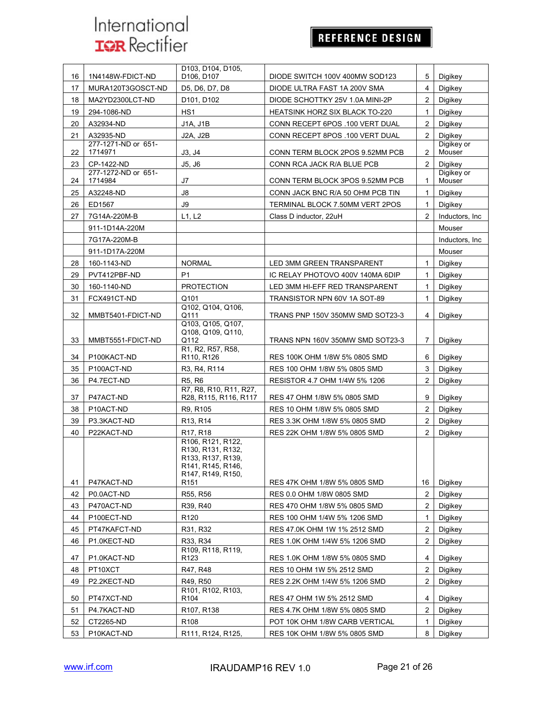## REFERENCE DESIGN

| 17<br>D5, D6, D7, D8<br>$\overline{4}$<br>MURA120T3GOSCT-ND<br>DIODE ULTRA FAST 1A 200V SMA<br>Digikey<br>DIODE SCHOTTKY 25V 1.0A MINI-2P<br>$\overline{2}$<br>18<br>MA2YD2300LCT-ND<br>D101, D102<br>Digikey<br>HS <sub>1</sub><br>19<br>294-1086-ND<br>HEATSINK HORZ SIX BLACK TO-220<br>$\mathbf{1}$<br>Digikey<br>J1A, J1B<br>$\overline{2}$<br>20<br>A32934-ND<br>CONN RECEPT 6POS .100 VERT DUAL<br>Digikey<br>A32935-ND<br>21<br><b>J2A, J2B</b><br>CONN RECEPT 8POS .100 VERT DUAL<br>$\mathbf{2}$<br>Digikey<br>277-1271-ND or 651-<br>Digikey or<br>1714971<br>Mouser<br>22<br>$\overline{2}$<br>J3, J4<br>CONN TERM BLOCK 2POS 9.52MM PCB<br>23<br>CP-1422-ND<br>J5, J6<br>$\overline{2}$<br>Digikey<br>CONN RCA JACK R/A BLUE PCB<br>277-1272-ND or 651-<br>Digikey or<br>Mouser<br>1714984<br>J7<br>24<br>CONN TERM BLOCK 3POS 9.52MM PCB<br>1<br>J8<br>25<br>A32248-ND<br>CONN JACK BNC R/A 50 OHM PCB TIN<br>$\mathbf{1}$<br>Digikey<br>ED1567<br>J9<br>26<br>TERMINAL BLOCK 7.50MM VERT 2POS<br>Digikey<br>1<br>$\overline{2}$<br>27<br>L1, L2<br>Inductors, Inc<br>7G14A-220M-B<br>Class D inductor, 22uH<br>911-1D14A-220M<br>Mouser<br>7G17A-220M-B<br>Inductors, Inc.<br>Mouser<br>911-1D17A-220M<br>28<br>160-1143-ND<br><b>NORMAL</b><br>Digikey<br>LED 3MM GREEN TRANSPARENT<br>$\mathbf{1}$<br>PVT412PBF-ND<br>P <sub>1</sub><br>29<br>IC RELAY PHOTOVO 400V 140MA 6DIP<br>$\mathbf{1}$<br>Digikey<br>30<br>160-1140-ND<br><b>PROTECTION</b><br>LED 3MM HI-EFF RED TRANSPARENT<br>1<br>Digikey<br>FCX491CT-ND<br>Q101<br>31<br>TRANSISTOR NPN 60V 1A SOT-89<br>$\mathbf{1}$<br>Digikey<br>Q102, Q104, Q106,<br>32<br>MMBT5401-FDICT-ND<br>Q111<br>TRANS PNP 150V 350MW SMD SOT23-3<br>4<br>Digikey<br>Q103, Q105, Q107,<br>Q108, Q109, Q110,<br>Q112<br>33<br>MMBT5551-FDICT-ND<br>TRANS NPN 160V 350MW SMD SOT23-3<br>7<br>Digikey<br>R1, R2, R57, R58,<br>R110, R126<br>34<br>P100KACT-ND<br>RES 100K OHM 1/8W 5% 0805 SMD<br>6<br>Digikey<br>3<br>35<br>P100ACT-ND<br>R3, R4, R114<br>RES 100 OHM 1/8W 5% 0805 SMD<br>Digikey<br>$\overline{2}$<br>36<br>P4.7ECT-ND<br>R <sub>5</sub> , R <sub>6</sub><br>RESISTOR 4.7 OHM 1/4W 5% 1206<br>Digikey<br>R7, R8, R10, R11, R27,<br>9<br>37<br>P47ACT-ND<br>R28, R115, R116, R117<br>RES 47 OHM 1/8W 5% 0805 SMD<br>Digikey<br>$\overline{c}$<br>38<br>P10ACT-ND<br>R9, R105<br>RES 10 OHM 1/8W 5% 0805 SMD<br>Digikey<br>$\overline{2}$<br>R13, R14<br>39<br>P3.3KACT-ND<br>RES 3.3K OHM 1/8W 5% 0805 SMD<br>Digikey<br>$\overline{2}$<br>40<br>P22KACT-ND<br>R <sub>17</sub> , R <sub>18</sub><br>RES 22K OHM 1/8W 5% 0805 SMD<br>Digikey<br>R106, R121, R122,<br>R130, R131, R132,<br>R133, R137, R139,<br>R141, R145, R146,<br>R <sub>147</sub> , R <sub>149</sub> , R <sub>150</sub> ,<br>41<br>P47KACT-ND<br>R <sub>151</sub><br>16<br>Digikey<br>RES 47K OHM 1/8W 5% 0805 SMD<br>$\overline{2}$<br>42<br>P0.0ACT-ND<br>R55, R56<br>Digikey<br>RES 0.0 OHM 1/8W 0805 SMD<br>P470ACT-ND<br>R39, R40<br>2<br>43<br>RES 470 OHM 1/8W 5% 0805 SMD<br>Digikey<br>44<br>P100ECT-ND<br>R <sub>120</sub><br>RES 100 OHM 1/4W 5% 1206 SMD<br>1<br>Digikey<br>45<br>PT47KAFCT-ND<br>RES 47.0K OHM 1W 1% 2512 SMD<br>2<br>R31, R32<br>Digikey<br>R33, R34<br>$\overline{2}$<br>46<br>P1.0KECT-ND<br>RES 1.0K OHM 1/4W 5% 1206 SMD<br>Digikey<br>R109, R118, R119,<br>47<br>P1.0KACT-ND<br>RES 1.0K OHM 1/8W 5% 0805 SMD<br>R <sub>123</sub><br>4<br>Digikey<br>$\overline{\mathbf{c}}$<br>48<br>PT10XCT<br>R47, R48<br>RES 10 OHM 1W 5% 2512 SMD<br>Digikey<br>$\overline{2}$<br>49<br>P2.2KECT-ND<br>R49, R50<br>RES 2.2K OHM 1/4W 5% 1206 SMD<br>Digikey<br>R101, R102, R103,<br>50<br>PT47XCT-ND<br>R104<br>RES 47 OHM 1W 5% 2512 SMD<br>4<br>Digikey<br>$\overline{2}$<br>51<br>P4.7KACT-ND<br>R107, R138<br>RES 4.7K OHM 1/8W 5% 0805 SMD<br>Digikey<br>52<br>CT2265-ND<br>R <sub>108</sub><br>1<br>Digikey<br>POT 10K OHM 1/8W CARB VERTICAL<br>53<br>P10KACT-ND<br>R111, R124, R125,<br>8<br>RES 10K OHM 1/8W 5% 0805 SMD | 16 | 1N4148W-FDICT-ND | D103, D104, D105.<br>D <sub>106</sub> , D <sub>107</sub> | DIODE SWITCH 100V 400MW SOD123 | 5 | Digikey |
|----------------------------------------------------------------------------------------------------------------------------------------------------------------------------------------------------------------------------------------------------------------------------------------------------------------------------------------------------------------------------------------------------------------------------------------------------------------------------------------------------------------------------------------------------------------------------------------------------------------------------------------------------------------------------------------------------------------------------------------------------------------------------------------------------------------------------------------------------------------------------------------------------------------------------------------------------------------------------------------------------------------------------------------------------------------------------------------------------------------------------------------------------------------------------------------------------------------------------------------------------------------------------------------------------------------------------------------------------------------------------------------------------------------------------------------------------------------------------------------------------------------------------------------------------------------------------------------------------------------------------------------------------------------------------------------------------------------------------------------------------------------------------------------------------------------------------------------------------------------------------------------------------------------------------------------------------------------------------------------------------------------------------------------------------------------------------------------------------------------------------------------------------------------------------------------------------------------------------------------------------------------------------------------------------------------------------------------------------------------------------------------------------------------------------------------------------------------------------------------------------------------------------------------------------------------------------------------------------------------------------------------------------------------------------------------------------------------------------------------------------------------------------------------------------------------------------------------------------------------------------------------------------------------------------------------------------------------------------------------------------------------------------------------------------------------------------------------------------------------------------------------------------------------------------------------------------------------------------------------------------------------------------------------------------------------------------------------------------------------------------------------------------------------------------------------------------------------------------------------------------------------------------------------------------------------------------------------------------------------------------------------------------------------------------------------------------------------------------------------------------------------------------------------------------------------------------------------------------------------------------------------------------------------------------------------------------------------------------------------------------|----|------------------|----------------------------------------------------------|--------------------------------|---|---------|
|                                                                                                                                                                                                                                                                                                                                                                                                                                                                                                                                                                                                                                                                                                                                                                                                                                                                                                                                                                                                                                                                                                                                                                                                                                                                                                                                                                                                                                                                                                                                                                                                                                                                                                                                                                                                                                                                                                                                                                                                                                                                                                                                                                                                                                                                                                                                                                                                                                                                                                                                                                                                                                                                                                                                                                                                                                                                                                                                                                                                                                                                                                                                                                                                                                                                                                                                                                                                                                                                                                                                                                                                                                                                                                                                                                                                                                                                                                                                                                                                    |    |                  |                                                          |                                |   |         |
|                                                                                                                                                                                                                                                                                                                                                                                                                                                                                                                                                                                                                                                                                                                                                                                                                                                                                                                                                                                                                                                                                                                                                                                                                                                                                                                                                                                                                                                                                                                                                                                                                                                                                                                                                                                                                                                                                                                                                                                                                                                                                                                                                                                                                                                                                                                                                                                                                                                                                                                                                                                                                                                                                                                                                                                                                                                                                                                                                                                                                                                                                                                                                                                                                                                                                                                                                                                                                                                                                                                                                                                                                                                                                                                                                                                                                                                                                                                                                                                                    |    |                  |                                                          |                                |   |         |
|                                                                                                                                                                                                                                                                                                                                                                                                                                                                                                                                                                                                                                                                                                                                                                                                                                                                                                                                                                                                                                                                                                                                                                                                                                                                                                                                                                                                                                                                                                                                                                                                                                                                                                                                                                                                                                                                                                                                                                                                                                                                                                                                                                                                                                                                                                                                                                                                                                                                                                                                                                                                                                                                                                                                                                                                                                                                                                                                                                                                                                                                                                                                                                                                                                                                                                                                                                                                                                                                                                                                                                                                                                                                                                                                                                                                                                                                                                                                                                                                    |    |                  |                                                          |                                |   |         |
|                                                                                                                                                                                                                                                                                                                                                                                                                                                                                                                                                                                                                                                                                                                                                                                                                                                                                                                                                                                                                                                                                                                                                                                                                                                                                                                                                                                                                                                                                                                                                                                                                                                                                                                                                                                                                                                                                                                                                                                                                                                                                                                                                                                                                                                                                                                                                                                                                                                                                                                                                                                                                                                                                                                                                                                                                                                                                                                                                                                                                                                                                                                                                                                                                                                                                                                                                                                                                                                                                                                                                                                                                                                                                                                                                                                                                                                                                                                                                                                                    |    |                  |                                                          |                                |   |         |
|                                                                                                                                                                                                                                                                                                                                                                                                                                                                                                                                                                                                                                                                                                                                                                                                                                                                                                                                                                                                                                                                                                                                                                                                                                                                                                                                                                                                                                                                                                                                                                                                                                                                                                                                                                                                                                                                                                                                                                                                                                                                                                                                                                                                                                                                                                                                                                                                                                                                                                                                                                                                                                                                                                                                                                                                                                                                                                                                                                                                                                                                                                                                                                                                                                                                                                                                                                                                                                                                                                                                                                                                                                                                                                                                                                                                                                                                                                                                                                                                    |    |                  |                                                          |                                |   |         |
|                                                                                                                                                                                                                                                                                                                                                                                                                                                                                                                                                                                                                                                                                                                                                                                                                                                                                                                                                                                                                                                                                                                                                                                                                                                                                                                                                                                                                                                                                                                                                                                                                                                                                                                                                                                                                                                                                                                                                                                                                                                                                                                                                                                                                                                                                                                                                                                                                                                                                                                                                                                                                                                                                                                                                                                                                                                                                                                                                                                                                                                                                                                                                                                                                                                                                                                                                                                                                                                                                                                                                                                                                                                                                                                                                                                                                                                                                                                                                                                                    |    |                  |                                                          |                                |   |         |
|                                                                                                                                                                                                                                                                                                                                                                                                                                                                                                                                                                                                                                                                                                                                                                                                                                                                                                                                                                                                                                                                                                                                                                                                                                                                                                                                                                                                                                                                                                                                                                                                                                                                                                                                                                                                                                                                                                                                                                                                                                                                                                                                                                                                                                                                                                                                                                                                                                                                                                                                                                                                                                                                                                                                                                                                                                                                                                                                                                                                                                                                                                                                                                                                                                                                                                                                                                                                                                                                                                                                                                                                                                                                                                                                                                                                                                                                                                                                                                                                    |    |                  |                                                          |                                |   |         |
|                                                                                                                                                                                                                                                                                                                                                                                                                                                                                                                                                                                                                                                                                                                                                                                                                                                                                                                                                                                                                                                                                                                                                                                                                                                                                                                                                                                                                                                                                                                                                                                                                                                                                                                                                                                                                                                                                                                                                                                                                                                                                                                                                                                                                                                                                                                                                                                                                                                                                                                                                                                                                                                                                                                                                                                                                                                                                                                                                                                                                                                                                                                                                                                                                                                                                                                                                                                                                                                                                                                                                                                                                                                                                                                                                                                                                                                                                                                                                                                                    |    |                  |                                                          |                                |   |         |
|                                                                                                                                                                                                                                                                                                                                                                                                                                                                                                                                                                                                                                                                                                                                                                                                                                                                                                                                                                                                                                                                                                                                                                                                                                                                                                                                                                                                                                                                                                                                                                                                                                                                                                                                                                                                                                                                                                                                                                                                                                                                                                                                                                                                                                                                                                                                                                                                                                                                                                                                                                                                                                                                                                                                                                                                                                                                                                                                                                                                                                                                                                                                                                                                                                                                                                                                                                                                                                                                                                                                                                                                                                                                                                                                                                                                                                                                                                                                                                                                    |    |                  |                                                          |                                |   |         |
|                                                                                                                                                                                                                                                                                                                                                                                                                                                                                                                                                                                                                                                                                                                                                                                                                                                                                                                                                                                                                                                                                                                                                                                                                                                                                                                                                                                                                                                                                                                                                                                                                                                                                                                                                                                                                                                                                                                                                                                                                                                                                                                                                                                                                                                                                                                                                                                                                                                                                                                                                                                                                                                                                                                                                                                                                                                                                                                                                                                                                                                                                                                                                                                                                                                                                                                                                                                                                                                                                                                                                                                                                                                                                                                                                                                                                                                                                                                                                                                                    |    |                  |                                                          |                                |   |         |
|                                                                                                                                                                                                                                                                                                                                                                                                                                                                                                                                                                                                                                                                                                                                                                                                                                                                                                                                                                                                                                                                                                                                                                                                                                                                                                                                                                                                                                                                                                                                                                                                                                                                                                                                                                                                                                                                                                                                                                                                                                                                                                                                                                                                                                                                                                                                                                                                                                                                                                                                                                                                                                                                                                                                                                                                                                                                                                                                                                                                                                                                                                                                                                                                                                                                                                                                                                                                                                                                                                                                                                                                                                                                                                                                                                                                                                                                                                                                                                                                    |    |                  |                                                          |                                |   |         |
|                                                                                                                                                                                                                                                                                                                                                                                                                                                                                                                                                                                                                                                                                                                                                                                                                                                                                                                                                                                                                                                                                                                                                                                                                                                                                                                                                                                                                                                                                                                                                                                                                                                                                                                                                                                                                                                                                                                                                                                                                                                                                                                                                                                                                                                                                                                                                                                                                                                                                                                                                                                                                                                                                                                                                                                                                                                                                                                                                                                                                                                                                                                                                                                                                                                                                                                                                                                                                                                                                                                                                                                                                                                                                                                                                                                                                                                                                                                                                                                                    |    |                  |                                                          |                                |   |         |
|                                                                                                                                                                                                                                                                                                                                                                                                                                                                                                                                                                                                                                                                                                                                                                                                                                                                                                                                                                                                                                                                                                                                                                                                                                                                                                                                                                                                                                                                                                                                                                                                                                                                                                                                                                                                                                                                                                                                                                                                                                                                                                                                                                                                                                                                                                                                                                                                                                                                                                                                                                                                                                                                                                                                                                                                                                                                                                                                                                                                                                                                                                                                                                                                                                                                                                                                                                                                                                                                                                                                                                                                                                                                                                                                                                                                                                                                                                                                                                                                    |    |                  |                                                          |                                |   |         |
|                                                                                                                                                                                                                                                                                                                                                                                                                                                                                                                                                                                                                                                                                                                                                                                                                                                                                                                                                                                                                                                                                                                                                                                                                                                                                                                                                                                                                                                                                                                                                                                                                                                                                                                                                                                                                                                                                                                                                                                                                                                                                                                                                                                                                                                                                                                                                                                                                                                                                                                                                                                                                                                                                                                                                                                                                                                                                                                                                                                                                                                                                                                                                                                                                                                                                                                                                                                                                                                                                                                                                                                                                                                                                                                                                                                                                                                                                                                                                                                                    |    |                  |                                                          |                                |   |         |
|                                                                                                                                                                                                                                                                                                                                                                                                                                                                                                                                                                                                                                                                                                                                                                                                                                                                                                                                                                                                                                                                                                                                                                                                                                                                                                                                                                                                                                                                                                                                                                                                                                                                                                                                                                                                                                                                                                                                                                                                                                                                                                                                                                                                                                                                                                                                                                                                                                                                                                                                                                                                                                                                                                                                                                                                                                                                                                                                                                                                                                                                                                                                                                                                                                                                                                                                                                                                                                                                                                                                                                                                                                                                                                                                                                                                                                                                                                                                                                                                    |    |                  |                                                          |                                |   |         |
|                                                                                                                                                                                                                                                                                                                                                                                                                                                                                                                                                                                                                                                                                                                                                                                                                                                                                                                                                                                                                                                                                                                                                                                                                                                                                                                                                                                                                                                                                                                                                                                                                                                                                                                                                                                                                                                                                                                                                                                                                                                                                                                                                                                                                                                                                                                                                                                                                                                                                                                                                                                                                                                                                                                                                                                                                                                                                                                                                                                                                                                                                                                                                                                                                                                                                                                                                                                                                                                                                                                                                                                                                                                                                                                                                                                                                                                                                                                                                                                                    |    |                  |                                                          |                                |   |         |
|                                                                                                                                                                                                                                                                                                                                                                                                                                                                                                                                                                                                                                                                                                                                                                                                                                                                                                                                                                                                                                                                                                                                                                                                                                                                                                                                                                                                                                                                                                                                                                                                                                                                                                                                                                                                                                                                                                                                                                                                                                                                                                                                                                                                                                                                                                                                                                                                                                                                                                                                                                                                                                                                                                                                                                                                                                                                                                                                                                                                                                                                                                                                                                                                                                                                                                                                                                                                                                                                                                                                                                                                                                                                                                                                                                                                                                                                                                                                                                                                    |    |                  |                                                          |                                |   |         |
|                                                                                                                                                                                                                                                                                                                                                                                                                                                                                                                                                                                                                                                                                                                                                                                                                                                                                                                                                                                                                                                                                                                                                                                                                                                                                                                                                                                                                                                                                                                                                                                                                                                                                                                                                                                                                                                                                                                                                                                                                                                                                                                                                                                                                                                                                                                                                                                                                                                                                                                                                                                                                                                                                                                                                                                                                                                                                                                                                                                                                                                                                                                                                                                                                                                                                                                                                                                                                                                                                                                                                                                                                                                                                                                                                                                                                                                                                                                                                                                                    |    |                  |                                                          |                                |   |         |
|                                                                                                                                                                                                                                                                                                                                                                                                                                                                                                                                                                                                                                                                                                                                                                                                                                                                                                                                                                                                                                                                                                                                                                                                                                                                                                                                                                                                                                                                                                                                                                                                                                                                                                                                                                                                                                                                                                                                                                                                                                                                                                                                                                                                                                                                                                                                                                                                                                                                                                                                                                                                                                                                                                                                                                                                                                                                                                                                                                                                                                                                                                                                                                                                                                                                                                                                                                                                                                                                                                                                                                                                                                                                                                                                                                                                                                                                                                                                                                                                    |    |                  |                                                          |                                |   |         |
|                                                                                                                                                                                                                                                                                                                                                                                                                                                                                                                                                                                                                                                                                                                                                                                                                                                                                                                                                                                                                                                                                                                                                                                                                                                                                                                                                                                                                                                                                                                                                                                                                                                                                                                                                                                                                                                                                                                                                                                                                                                                                                                                                                                                                                                                                                                                                                                                                                                                                                                                                                                                                                                                                                                                                                                                                                                                                                                                                                                                                                                                                                                                                                                                                                                                                                                                                                                                                                                                                                                                                                                                                                                                                                                                                                                                                                                                                                                                                                                                    |    |                  |                                                          |                                |   |         |
|                                                                                                                                                                                                                                                                                                                                                                                                                                                                                                                                                                                                                                                                                                                                                                                                                                                                                                                                                                                                                                                                                                                                                                                                                                                                                                                                                                                                                                                                                                                                                                                                                                                                                                                                                                                                                                                                                                                                                                                                                                                                                                                                                                                                                                                                                                                                                                                                                                                                                                                                                                                                                                                                                                                                                                                                                                                                                                                                                                                                                                                                                                                                                                                                                                                                                                                                                                                                                                                                                                                                                                                                                                                                                                                                                                                                                                                                                                                                                                                                    |    |                  |                                                          |                                |   |         |
|                                                                                                                                                                                                                                                                                                                                                                                                                                                                                                                                                                                                                                                                                                                                                                                                                                                                                                                                                                                                                                                                                                                                                                                                                                                                                                                                                                                                                                                                                                                                                                                                                                                                                                                                                                                                                                                                                                                                                                                                                                                                                                                                                                                                                                                                                                                                                                                                                                                                                                                                                                                                                                                                                                                                                                                                                                                                                                                                                                                                                                                                                                                                                                                                                                                                                                                                                                                                                                                                                                                                                                                                                                                                                                                                                                                                                                                                                                                                                                                                    |    |                  |                                                          |                                |   |         |
|                                                                                                                                                                                                                                                                                                                                                                                                                                                                                                                                                                                                                                                                                                                                                                                                                                                                                                                                                                                                                                                                                                                                                                                                                                                                                                                                                                                                                                                                                                                                                                                                                                                                                                                                                                                                                                                                                                                                                                                                                                                                                                                                                                                                                                                                                                                                                                                                                                                                                                                                                                                                                                                                                                                                                                                                                                                                                                                                                                                                                                                                                                                                                                                                                                                                                                                                                                                                                                                                                                                                                                                                                                                                                                                                                                                                                                                                                                                                                                                                    |    |                  |                                                          |                                |   |         |
|                                                                                                                                                                                                                                                                                                                                                                                                                                                                                                                                                                                                                                                                                                                                                                                                                                                                                                                                                                                                                                                                                                                                                                                                                                                                                                                                                                                                                                                                                                                                                                                                                                                                                                                                                                                                                                                                                                                                                                                                                                                                                                                                                                                                                                                                                                                                                                                                                                                                                                                                                                                                                                                                                                                                                                                                                                                                                                                                                                                                                                                                                                                                                                                                                                                                                                                                                                                                                                                                                                                                                                                                                                                                                                                                                                                                                                                                                                                                                                                                    |    |                  |                                                          |                                |   |         |
|                                                                                                                                                                                                                                                                                                                                                                                                                                                                                                                                                                                                                                                                                                                                                                                                                                                                                                                                                                                                                                                                                                                                                                                                                                                                                                                                                                                                                                                                                                                                                                                                                                                                                                                                                                                                                                                                                                                                                                                                                                                                                                                                                                                                                                                                                                                                                                                                                                                                                                                                                                                                                                                                                                                                                                                                                                                                                                                                                                                                                                                                                                                                                                                                                                                                                                                                                                                                                                                                                                                                                                                                                                                                                                                                                                                                                                                                                                                                                                                                    |    |                  |                                                          |                                |   |         |
|                                                                                                                                                                                                                                                                                                                                                                                                                                                                                                                                                                                                                                                                                                                                                                                                                                                                                                                                                                                                                                                                                                                                                                                                                                                                                                                                                                                                                                                                                                                                                                                                                                                                                                                                                                                                                                                                                                                                                                                                                                                                                                                                                                                                                                                                                                                                                                                                                                                                                                                                                                                                                                                                                                                                                                                                                                                                                                                                                                                                                                                                                                                                                                                                                                                                                                                                                                                                                                                                                                                                                                                                                                                                                                                                                                                                                                                                                                                                                                                                    |    |                  |                                                          |                                |   |         |
|                                                                                                                                                                                                                                                                                                                                                                                                                                                                                                                                                                                                                                                                                                                                                                                                                                                                                                                                                                                                                                                                                                                                                                                                                                                                                                                                                                                                                                                                                                                                                                                                                                                                                                                                                                                                                                                                                                                                                                                                                                                                                                                                                                                                                                                                                                                                                                                                                                                                                                                                                                                                                                                                                                                                                                                                                                                                                                                                                                                                                                                                                                                                                                                                                                                                                                                                                                                                                                                                                                                                                                                                                                                                                                                                                                                                                                                                                                                                                                                                    |    |                  |                                                          |                                |   |         |
|                                                                                                                                                                                                                                                                                                                                                                                                                                                                                                                                                                                                                                                                                                                                                                                                                                                                                                                                                                                                                                                                                                                                                                                                                                                                                                                                                                                                                                                                                                                                                                                                                                                                                                                                                                                                                                                                                                                                                                                                                                                                                                                                                                                                                                                                                                                                                                                                                                                                                                                                                                                                                                                                                                                                                                                                                                                                                                                                                                                                                                                                                                                                                                                                                                                                                                                                                                                                                                                                                                                                                                                                                                                                                                                                                                                                                                                                                                                                                                                                    |    |                  |                                                          |                                |   |         |
|                                                                                                                                                                                                                                                                                                                                                                                                                                                                                                                                                                                                                                                                                                                                                                                                                                                                                                                                                                                                                                                                                                                                                                                                                                                                                                                                                                                                                                                                                                                                                                                                                                                                                                                                                                                                                                                                                                                                                                                                                                                                                                                                                                                                                                                                                                                                                                                                                                                                                                                                                                                                                                                                                                                                                                                                                                                                                                                                                                                                                                                                                                                                                                                                                                                                                                                                                                                                                                                                                                                                                                                                                                                                                                                                                                                                                                                                                                                                                                                                    |    |                  |                                                          |                                |   |         |
|                                                                                                                                                                                                                                                                                                                                                                                                                                                                                                                                                                                                                                                                                                                                                                                                                                                                                                                                                                                                                                                                                                                                                                                                                                                                                                                                                                                                                                                                                                                                                                                                                                                                                                                                                                                                                                                                                                                                                                                                                                                                                                                                                                                                                                                                                                                                                                                                                                                                                                                                                                                                                                                                                                                                                                                                                                                                                                                                                                                                                                                                                                                                                                                                                                                                                                                                                                                                                                                                                                                                                                                                                                                                                                                                                                                                                                                                                                                                                                                                    |    |                  |                                                          |                                |   |         |
|                                                                                                                                                                                                                                                                                                                                                                                                                                                                                                                                                                                                                                                                                                                                                                                                                                                                                                                                                                                                                                                                                                                                                                                                                                                                                                                                                                                                                                                                                                                                                                                                                                                                                                                                                                                                                                                                                                                                                                                                                                                                                                                                                                                                                                                                                                                                                                                                                                                                                                                                                                                                                                                                                                                                                                                                                                                                                                                                                                                                                                                                                                                                                                                                                                                                                                                                                                                                                                                                                                                                                                                                                                                                                                                                                                                                                                                                                                                                                                                                    |    |                  |                                                          |                                |   |         |
|                                                                                                                                                                                                                                                                                                                                                                                                                                                                                                                                                                                                                                                                                                                                                                                                                                                                                                                                                                                                                                                                                                                                                                                                                                                                                                                                                                                                                                                                                                                                                                                                                                                                                                                                                                                                                                                                                                                                                                                                                                                                                                                                                                                                                                                                                                                                                                                                                                                                                                                                                                                                                                                                                                                                                                                                                                                                                                                                                                                                                                                                                                                                                                                                                                                                                                                                                                                                                                                                                                                                                                                                                                                                                                                                                                                                                                                                                                                                                                                                    |    |                  |                                                          |                                |   |         |
|                                                                                                                                                                                                                                                                                                                                                                                                                                                                                                                                                                                                                                                                                                                                                                                                                                                                                                                                                                                                                                                                                                                                                                                                                                                                                                                                                                                                                                                                                                                                                                                                                                                                                                                                                                                                                                                                                                                                                                                                                                                                                                                                                                                                                                                                                                                                                                                                                                                                                                                                                                                                                                                                                                                                                                                                                                                                                                                                                                                                                                                                                                                                                                                                                                                                                                                                                                                                                                                                                                                                                                                                                                                                                                                                                                                                                                                                                                                                                                                                    |    |                  |                                                          |                                |   |         |
|                                                                                                                                                                                                                                                                                                                                                                                                                                                                                                                                                                                                                                                                                                                                                                                                                                                                                                                                                                                                                                                                                                                                                                                                                                                                                                                                                                                                                                                                                                                                                                                                                                                                                                                                                                                                                                                                                                                                                                                                                                                                                                                                                                                                                                                                                                                                                                                                                                                                                                                                                                                                                                                                                                                                                                                                                                                                                                                                                                                                                                                                                                                                                                                                                                                                                                                                                                                                                                                                                                                                                                                                                                                                                                                                                                                                                                                                                                                                                                                                    |    |                  |                                                          |                                |   |         |
|                                                                                                                                                                                                                                                                                                                                                                                                                                                                                                                                                                                                                                                                                                                                                                                                                                                                                                                                                                                                                                                                                                                                                                                                                                                                                                                                                                                                                                                                                                                                                                                                                                                                                                                                                                                                                                                                                                                                                                                                                                                                                                                                                                                                                                                                                                                                                                                                                                                                                                                                                                                                                                                                                                                                                                                                                                                                                                                                                                                                                                                                                                                                                                                                                                                                                                                                                                                                                                                                                                                                                                                                                                                                                                                                                                                                                                                                                                                                                                                                    |    |                  |                                                          |                                |   |         |
|                                                                                                                                                                                                                                                                                                                                                                                                                                                                                                                                                                                                                                                                                                                                                                                                                                                                                                                                                                                                                                                                                                                                                                                                                                                                                                                                                                                                                                                                                                                                                                                                                                                                                                                                                                                                                                                                                                                                                                                                                                                                                                                                                                                                                                                                                                                                                                                                                                                                                                                                                                                                                                                                                                                                                                                                                                                                                                                                                                                                                                                                                                                                                                                                                                                                                                                                                                                                                                                                                                                                                                                                                                                                                                                                                                                                                                                                                                                                                                                                    |    |                  |                                                          |                                |   |         |
|                                                                                                                                                                                                                                                                                                                                                                                                                                                                                                                                                                                                                                                                                                                                                                                                                                                                                                                                                                                                                                                                                                                                                                                                                                                                                                                                                                                                                                                                                                                                                                                                                                                                                                                                                                                                                                                                                                                                                                                                                                                                                                                                                                                                                                                                                                                                                                                                                                                                                                                                                                                                                                                                                                                                                                                                                                                                                                                                                                                                                                                                                                                                                                                                                                                                                                                                                                                                                                                                                                                                                                                                                                                                                                                                                                                                                                                                                                                                                                                                    |    |                  |                                                          |                                |   |         |
|                                                                                                                                                                                                                                                                                                                                                                                                                                                                                                                                                                                                                                                                                                                                                                                                                                                                                                                                                                                                                                                                                                                                                                                                                                                                                                                                                                                                                                                                                                                                                                                                                                                                                                                                                                                                                                                                                                                                                                                                                                                                                                                                                                                                                                                                                                                                                                                                                                                                                                                                                                                                                                                                                                                                                                                                                                                                                                                                                                                                                                                                                                                                                                                                                                                                                                                                                                                                                                                                                                                                                                                                                                                                                                                                                                                                                                                                                                                                                                                                    |    |                  |                                                          |                                |   |         |
|                                                                                                                                                                                                                                                                                                                                                                                                                                                                                                                                                                                                                                                                                                                                                                                                                                                                                                                                                                                                                                                                                                                                                                                                                                                                                                                                                                                                                                                                                                                                                                                                                                                                                                                                                                                                                                                                                                                                                                                                                                                                                                                                                                                                                                                                                                                                                                                                                                                                                                                                                                                                                                                                                                                                                                                                                                                                                                                                                                                                                                                                                                                                                                                                                                                                                                                                                                                                                                                                                                                                                                                                                                                                                                                                                                                                                                                                                                                                                                                                    |    |                  |                                                          |                                |   |         |
|                                                                                                                                                                                                                                                                                                                                                                                                                                                                                                                                                                                                                                                                                                                                                                                                                                                                                                                                                                                                                                                                                                                                                                                                                                                                                                                                                                                                                                                                                                                                                                                                                                                                                                                                                                                                                                                                                                                                                                                                                                                                                                                                                                                                                                                                                                                                                                                                                                                                                                                                                                                                                                                                                                                                                                                                                                                                                                                                                                                                                                                                                                                                                                                                                                                                                                                                                                                                                                                                                                                                                                                                                                                                                                                                                                                                                                                                                                                                                                                                    |    |                  |                                                          |                                |   |         |
|                                                                                                                                                                                                                                                                                                                                                                                                                                                                                                                                                                                                                                                                                                                                                                                                                                                                                                                                                                                                                                                                                                                                                                                                                                                                                                                                                                                                                                                                                                                                                                                                                                                                                                                                                                                                                                                                                                                                                                                                                                                                                                                                                                                                                                                                                                                                                                                                                                                                                                                                                                                                                                                                                                                                                                                                                                                                                                                                                                                                                                                                                                                                                                                                                                                                                                                                                                                                                                                                                                                                                                                                                                                                                                                                                                                                                                                                                                                                                                                                    |    |                  |                                                          |                                |   |         |
|                                                                                                                                                                                                                                                                                                                                                                                                                                                                                                                                                                                                                                                                                                                                                                                                                                                                                                                                                                                                                                                                                                                                                                                                                                                                                                                                                                                                                                                                                                                                                                                                                                                                                                                                                                                                                                                                                                                                                                                                                                                                                                                                                                                                                                                                                                                                                                                                                                                                                                                                                                                                                                                                                                                                                                                                                                                                                                                                                                                                                                                                                                                                                                                                                                                                                                                                                                                                                                                                                                                                                                                                                                                                                                                                                                                                                                                                                                                                                                                                    |    |                  |                                                          |                                |   |         |
|                                                                                                                                                                                                                                                                                                                                                                                                                                                                                                                                                                                                                                                                                                                                                                                                                                                                                                                                                                                                                                                                                                                                                                                                                                                                                                                                                                                                                                                                                                                                                                                                                                                                                                                                                                                                                                                                                                                                                                                                                                                                                                                                                                                                                                                                                                                                                                                                                                                                                                                                                                                                                                                                                                                                                                                                                                                                                                                                                                                                                                                                                                                                                                                                                                                                                                                                                                                                                                                                                                                                                                                                                                                                                                                                                                                                                                                                                                                                                                                                    |    |                  |                                                          |                                |   |         |
|                                                                                                                                                                                                                                                                                                                                                                                                                                                                                                                                                                                                                                                                                                                                                                                                                                                                                                                                                                                                                                                                                                                                                                                                                                                                                                                                                                                                                                                                                                                                                                                                                                                                                                                                                                                                                                                                                                                                                                                                                                                                                                                                                                                                                                                                                                                                                                                                                                                                                                                                                                                                                                                                                                                                                                                                                                                                                                                                                                                                                                                                                                                                                                                                                                                                                                                                                                                                                                                                                                                                                                                                                                                                                                                                                                                                                                                                                                                                                                                                    |    |                  |                                                          |                                |   | Digikey |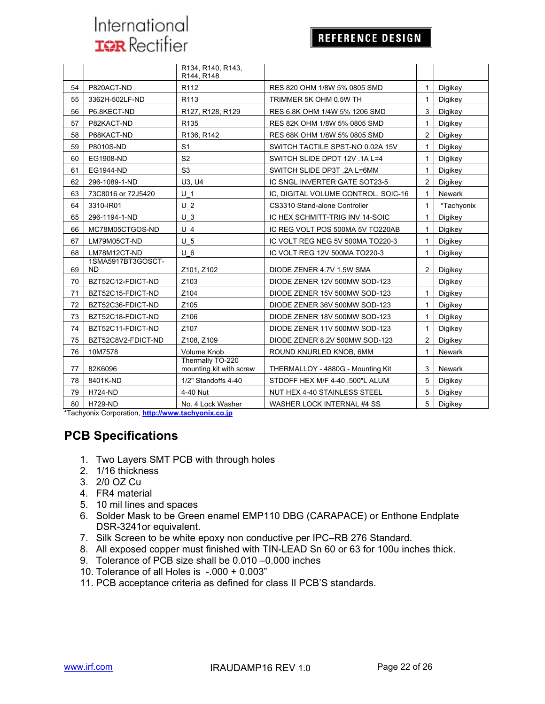#### **REFERENCE DESIGN**

|    |                                | R134, R140, R143,<br>R144, R148             |                                     |                |               |
|----|--------------------------------|---------------------------------------------|-------------------------------------|----------------|---------------|
| 54 | P820ACT-ND                     | R <sub>112</sub>                            | RES 820 OHM 1/8W 5% 0805 SMD        | 1              | Digikey       |
| 55 | 3362H-502LF-ND                 | R <sub>113</sub>                            | TRIMMER 5K OHM 0.5W TH              | 1              | Digikey       |
| 56 | P6.8KECT-ND                    | R127, R128, R129                            | RES 6.8K OHM 1/4W 5% 1206 SMD       | 3              | Digikey       |
| 57 | P82KACT-ND                     | R <sub>135</sub>                            | RES 82K OHM 1/8W 5% 0805 SMD        | 1              | Digikey       |
| 58 | P68KACT-ND                     | R136, R142                                  | RES 68K OHM 1/8W 5% 0805 SMD        | $\overline{2}$ | Digikey       |
| 59 | P8010S-ND                      | S <sub>1</sub>                              | SWITCH TACTILE SPST-NO 0.02A 15V    | 1              | Digikey       |
| 60 | EG1908-ND                      | S <sub>2</sub>                              | SWITCH SLIDE DPDT 12V .1A L=4       | 1              | Digikey       |
| 61 | EG1944-ND                      | S <sub>3</sub>                              | SWITCH SLIDE DP3T .2A L=6MM         | 1              | Digikey       |
| 62 | 296-1089-1-ND                  | U3. U4                                      | IC SNGL INVERTER GATE SOT23-5       | $\overline{2}$ | Digikey       |
| 63 | 73C8016 or 72J5420             | U <sub>1</sub>                              | IC. DIGITAL VOLUME CONTROL, SOIC-16 | 1              | <b>Newark</b> |
| 64 | 3310-IR01                      | U <sub>2</sub>                              | CS3310 Stand-alone Controller       | $\mathbf{1}$   | *Tachyonix    |
| 65 | 296-1194-1-ND                  | U <sub>3</sub>                              | IC HEX SCHMITT-TRIG INV 14-SOIC     | 1              | Digikey       |
| 66 | MC78M05CTGOS-ND                | $U$ 4                                       | IC REG VOLT POS 500MA 5V TO220AB    | 1              | Digikey       |
| 67 | LM79M05CT-ND                   | U <sub>5</sub>                              | IC VOLT REG NEG 5V 500MA TO220-3    | $\mathbf{1}$   | Digikey       |
| 68 | LM78M12CT-ND                   | $U_6$                                       | IC VOLT REG 12V 500MA TO220-3       | 1              | Digikey       |
| 69 | 1SMA5917BT3GOSCT-<br><b>ND</b> | Z101, Z102                                  | DIODE ZENER 4.7V 1.5W SMA           | $\overline{2}$ | Digikey       |
| 70 | BZT52C12-FDICT-ND              | Z103                                        | DIODE ZENER 12V 500MW SOD-123       |                | Digikey       |
| 71 | BZT52C15-FDICT-ND              | Z104                                        | DIODE ZENER 15V 500MW SOD-123       | $\mathbf{1}$   | Digikey       |
| 72 | BZT52C36-FDICT-ND              | Z105                                        | DIODE ZENER 36V 500MW SOD-123       | 1              | Digikey       |
| 73 | BZT52C18-FDICT-ND              | Z106                                        | DIODE ZENER 18V 500MW SOD-123       | 1              | Digikey       |
| 74 | BZT52C11-FDICT-ND              | Z <sub>107</sub>                            | DIODE ZENER 11V 500MW SOD-123       | 1              | Digikey       |
| 75 | BZT52C8V2-FDICT-ND             | Z108. Z109                                  | DIODE ZENER 8.2V 500MW SOD-123      | 2              | Digikey       |
| 76 | 10M7578                        | Volume Knob                                 | ROUND KNURLED KNOB, 6MM             | $\mathbf 1$    | Newark        |
| 77 | 82K6096                        | Thermally TO-220<br>mounting kit with screw | THERMALLOY - 4880G - Mounting Kit   | 3              | <b>Newark</b> |
| 78 | 8401K-ND                       | 1/2" Standoffs 4-40                         | STDOFF HEX M/F 4-40 .500"L ALUM     | 5              | Digikey       |
| 79 | <b>H724-ND</b>                 | 4-40 Nut                                    | NUT HEX 4-40 STAINLESS STEEL        | 5              | Digikey       |
| 80 | <b>H729-ND</b>                 | No. 4 Lock Washer                           | WASHER LOCK INTERNAL #4 SS          | 5              | Digikey       |

\*Tachyonix Corporation, **http://www.tachyonix.co.jp**

### **PCB Specifications**

- 1. Two Layers SMT PCB with through holes
- 2. 1/16 thickness
- 3. 2/0 OZ Cu
- 4. FR4 material
- 5. 10 mil lines and spaces
- 6. Solder Mask to be Green enamel EMP110 DBG (CARAPACE) or Enthone Endplate DSR-3241or equivalent.
- 7. Silk Screen to be white epoxy non conductive per IPC–RB 276 Standard.
- 8. All exposed copper must finished with TIN-LEAD Sn 60 or 63 for 100u inches thick.
- 9. Tolerance of PCB size shall be 0.010 –0.000 inches
- 10. Tolerance of all Holes is -.000 + 0.003"
- 11. PCB acceptance criteria as defined for class II PCB'S standards.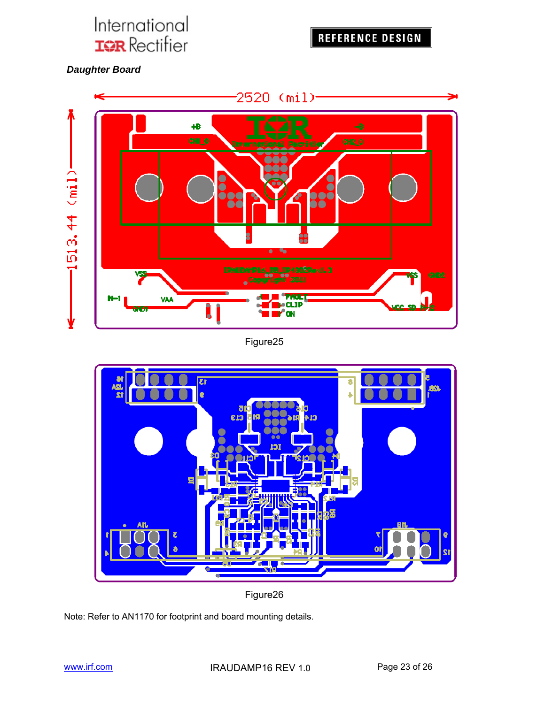**REFERENCE DESIGN** 

 *Daughter Board* 



Figure25



Figure26

Note: Refer to AN1170 for footprint and board mounting details.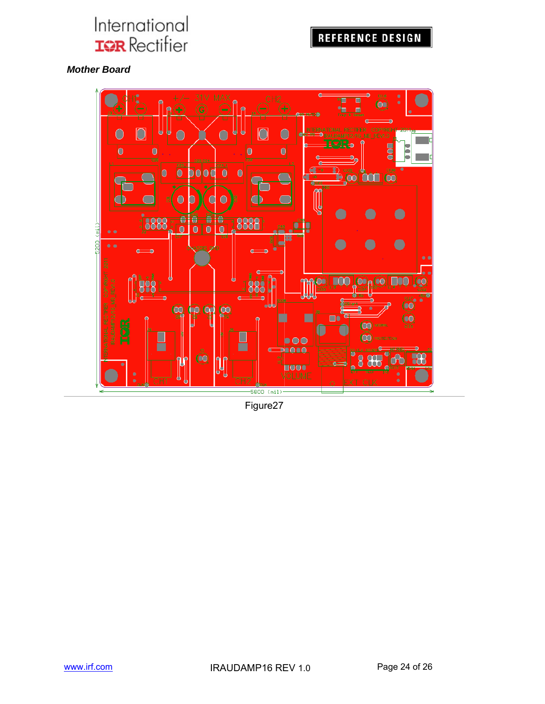### **REFERENCE DESIGN**

#### *Mother Board*



Figure27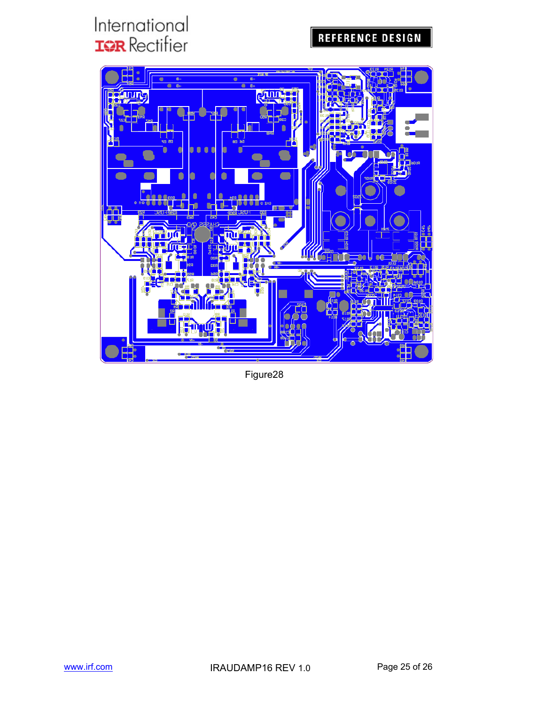## **REFERENCE DESIGN**



Figure28